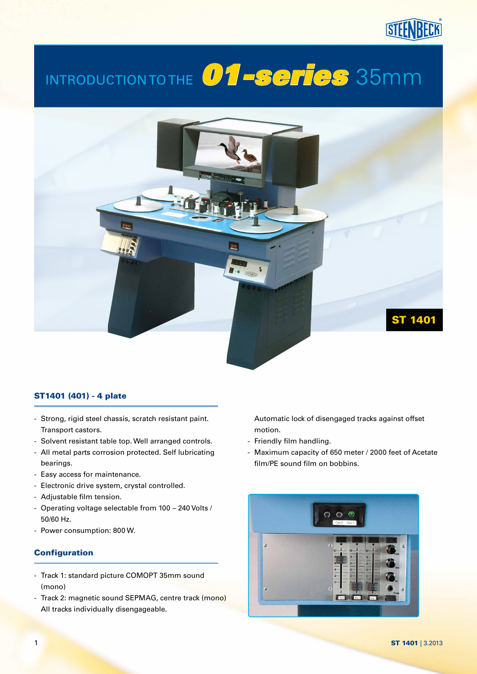# Introduction to the *01-series* 35mm



### ST1401 (401) - 4 plate

- Strong, rigid steel chassis, scratch resistant paint. Transport castors.
- Solvent resistant table top. Well arranged controls.
- All metal parts corrosion protected. Self lubricating bearings.
- Easy access for maintenance.
- Electronic drive system, crystal controlled.
- Adjustable film tension.
- Operating voltage selectable from 100 240 Volts / 50/60 Hz.
- Power consumption: 800 W.

#### **Configuration**

- Track 1: standard picture COMOPT 35mm sound (mono)
- Track 2: magnetic sound SEPMAG, centre track (mono) All tracks individually disengageable.

 Automatic lock of disengaged tracks against offset motion.

- Friendly film handling.
- Maximum capacity of 650 meter / 2000 feet of Acetate film/PE sound film on bobbins.

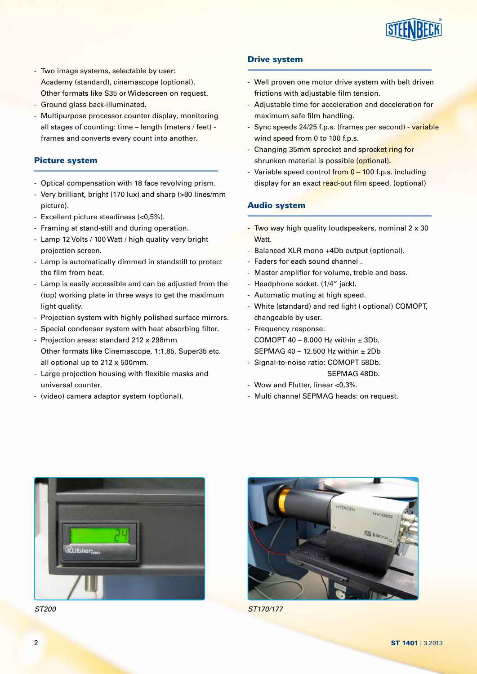

- Two image systems, selectable by user: Academy (standard), cinemascope (optional). Other formats like S35 or Widescreen on request.
- Ground glass back-illuminated.
- Multipurpose processor counter display, monitoring all stages of counting: time – length (meters / feet) frames and converts every count into another.

#### Picture system

- Optical compensation with 18 face revolving prism.
- Very brilliant, bright (170 lux) and sharp (>80 lines/mm picture).
- Excellent picture steadiness (<0,5%).
- Framing at stand-still and during operation.
- Lamp 12 Volts / 100 Watt / high quality very bright projection screen.
- Lamp is automatically dimmed in standstill to protect the film from heat.
- Lamp is easily accessible and can be adjusted from the (top) working plate in three ways to get the maximum light quality.
- Projection system with highly polished surface mirrors.
- Special condenser system with heat absorbing filter.
- Projection areas: standard 212 x 298mm Other formats like Cinemascope, 1:1,85, Super35 etc. all optional up to 212 x 500mm.
- Large projection housing with flexible masks and universal counter.
- (video) camera adaptor system (optional).

#### Drive system

- Well proven one motor drive system with belt driven frictions with adjustable film tension.
- Adjustable time for acceleration and deceleration for maximum safe film handling.
- Sync speeds 24/25 f.p.s. (frames per second) variable wind speed from 0 to 100 f.p.s.
- Changing 35mm sprocket and sprocket ring for shrunken material is possible (optional).
- Variable speed control from 0 100 f.p.s. including display for an exact read-out film speed. (optional)

#### Audio system

- $-$  Two way high quality loudspeakers, nominal 2 x 30 Watt.
- Balanced XLR mono +4Db output (optional).
- Faders for each sound channel .
- Master amplifier for volume, treble and bass.
- Headphone socket. (1/4" jack).
- Automatic muting at high speed.
- White (standard) and red light ( optional) COMOPT, changeable by user.
- Frequency response: COMOPT 40 – 8.000 Hz within  $\pm$  3Db. SEPMAG 40 – 12.500 Hz within ± 2Db
- Signal-to-noise ratio: COMOPT 58Db. SEPMAG 48Db.
- Wow and Flutter, linear <0,3%.
- Multi channel SEPMAG heads: on request.







*ST200 ST170/177*